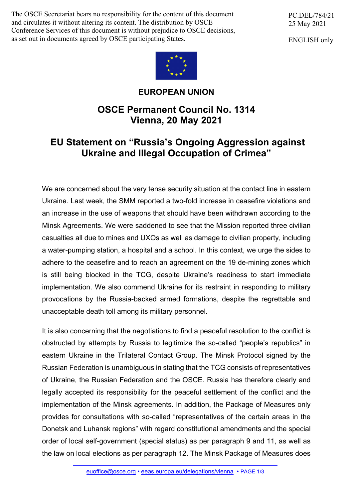The OSCE Secretariat bears no responsibility for the content of this document and circulates it without altering its content. The distribution by OSCE Conference Services of this document is without prejudice to OSCE decisions, as set out in documents agreed by OSCE participating States.

PC.DEL/784/21 25 May 2021

ENGLISH only



## **EUROPEAN UNION**

## **OSCE Permanent Council No. 1314 Vienna, 20 May 2021**

## **EU Statement on "Russia's Ongoing Aggression against Ukraine and Illegal Occupation of Crimea"**

We are concerned about the very tense security situation at the contact line in eastern Ukraine. Last week, the SMM reported a two-fold increase in ceasefire violations and an increase in the use of weapons that should have been withdrawn according to the Minsk Agreements. We were saddened to see that the Mission reported three civilian casualties all due to mines and UXOs as well as damage to civilian property, including a water-pumping station, a hospital and a school. In this context, we urge the sides to adhere to the ceasefire and to reach an agreement on the 19 de-mining zones which is still being blocked in the TCG, despite Ukraine's readiness to start immediate implementation. We also commend Ukraine for its restraint in responding to military provocations by the Russia-backed armed formations, despite the regrettable and unacceptable death toll among its military personnel.

It is also concerning that the negotiations to find a peaceful resolution to the conflict is obstructed by attempts by Russia to legitimize the so-called "people's republics" in eastern Ukraine in the Trilateral Contact Group. The Minsk Protocol signed by the Russian Federation is unambiguous in stating that the TCG consists of representatives of Ukraine, the Russian Federation and the OSCE. Russia has therefore clearly and legally accepted its responsibility for the peaceful settlement of the conflict and the implementation of the Minsk agreements. In addition, the Package of Measures only provides for consultations with so-called "representatives of the certain areas in the Donetsk and Luhansk regions" with regard constitutional amendments and the special order of local self-government (special status) as per paragraph 9 and 11, as well as the law on local elections as per paragraph 12. The Minsk Package of Measures does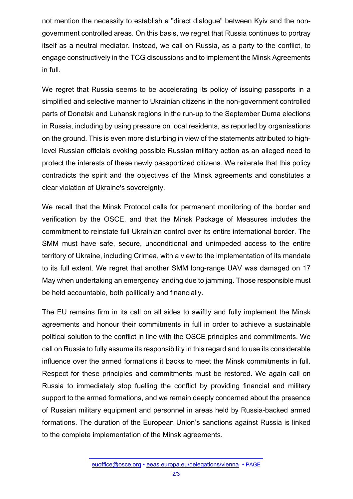not mention the necessity to establish a "direct dialogue" between Kyiv and the nongovernment controlled areas. On this basis, we regret that Russia continues to portray itself as a neutral mediator. Instead, we call on Russia, as a party to the conflict, to engage constructively in the TCG discussions and to implement the Minsk Agreements in full.

We regret that Russia seems to be accelerating its policy of issuing passports in a simplified and selective manner to Ukrainian citizens in the non-government controlled parts of Donetsk and Luhansk regions in the run-up to the September Duma elections in Russia, including by using pressure on local residents, as reported by organisations on the ground. This is even more disturbing in view of the statements attributed to highlevel Russian officials evoking possible Russian military action as an alleged need to protect the interests of these newly passportized citizens. We reiterate that this policy contradicts the spirit and the objectives of the Minsk agreements and constitutes a clear violation of Ukraine's sovereignty.

We recall that the Minsk Protocol calls for permanent monitoring of the border and verification by the OSCE, and that the Minsk Package of Measures includes the commitment to reinstate full Ukrainian control over its entire international border. The SMM must have safe, secure, unconditional and unimpeded access to the entire territory of Ukraine, including Crimea, with a view to the implementation of its mandate to its full extent. We regret that another SMM long-range UAV was damaged on 17 May when undertaking an emergency landing due to jamming. Those responsible must be held accountable, both politically and financially.

The EU remains firm in its call on all sides to swiftly and fully implement the Minsk agreements and honour their commitments in full in order to achieve a sustainable political solution to the conflict in line with the OSCE principles and commitments. We call on Russia to fully assume its responsibility in this regard and to use its considerable influence over the armed formations it backs to meet the Minsk commitments in full. Respect for these principles and commitments must be restored. We again call on Russia to immediately stop fuelling the conflict by providing financial and military support to the armed formations, and we remain deeply concerned about the presence of Russian military equipment and personnel in areas held by Russia-backed armed formations. The duration of the European Union's sanctions against Russia is linked to the complete implementation of the Minsk agreements.